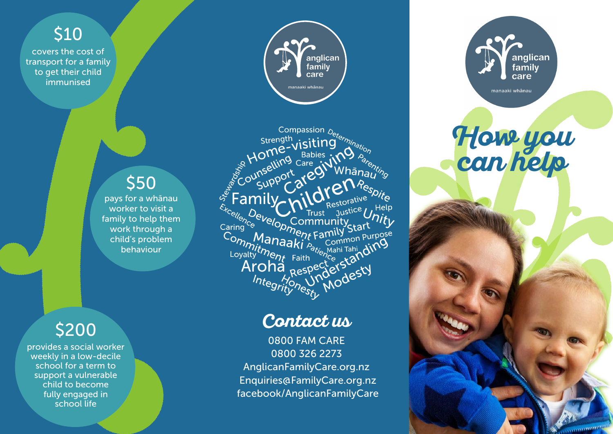

covers the cost of transport for a family to get their child immunised

# \$50

pays for a whānau worker to visit a family to help them work through a child's problem behaviour

## \$200

provides a social worker weekly in a low-decile school for a term to support a vulnerable child to become fully engaged in school life



Compassion <sub>Deternination</sub><br>ength<br>ne-Visiting orn<sub>ination</sub> Strength<br>
Strength<br>
Strength<br>
Strength<br>
Care<br>
Courselling<br>
Community<br>
Caring Community<br>
Community<br>
Community<br>
Community<br>
Community<br>
Community<br>
Community<br>
Community<br>
Community<br>
Community<br>
Community<br>
Community<br>
Community<br>
Co 'ta Help Commitment Faith<br>Loyalty *ment* Faith<br>Loyalty *ment* Faith<br>**Aroha** Respe m<sub>m</sup>nitment Family Start<br>byaltytment Faith Common Purpose<br>oyaltytment Faith Common Purpose<br>Aroha Respecter Starding<br>Integritynesty</sub> amily Start<br>Common Purpose Integrity nesty

### **Contact us**

0800 FAM CARE 0800 326 2273 AnglicanFamilyCare.org.nz Enquiries@FamilyCare.org.nz facebook/AnglicanFamilyCare



**How you can help**